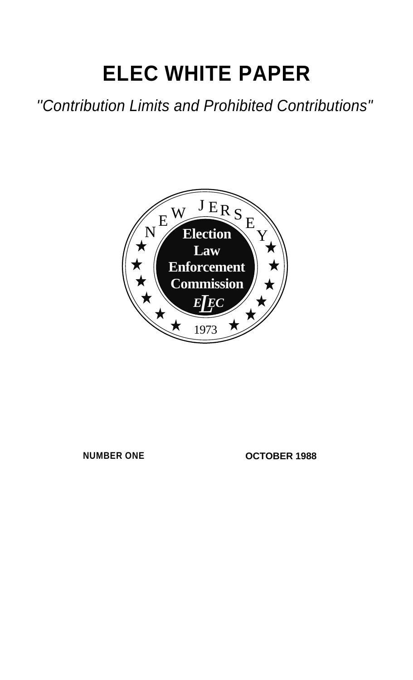# **ELEC WHITE PAPER**

*''Contribution Limits and Prohibited Contributions"*



**NUMBER ONE OCTOBER 1988**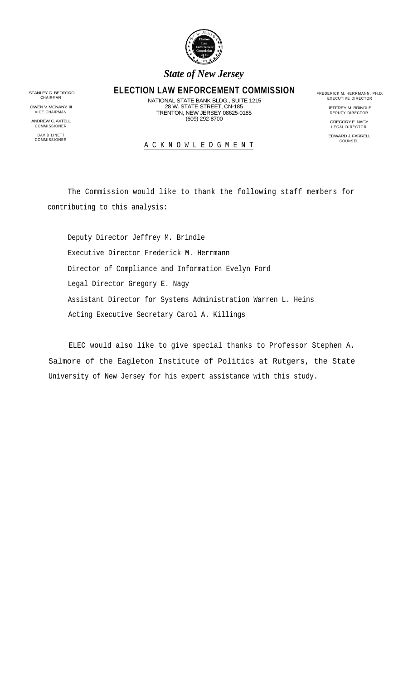

### *State of New Jersey*

# STANLEY G. BEDFORD **ELECTION LAW ENFORCEMENT COMMISSION** FREDERICK M. HERRMANN, PH.D.<br>CHAIRMAN CHAIRMAN NATIONAL STATE BANK BLDC, SLIITE 1915

CHAIRMAN CHAIRMAN CHAIRMAN CHAIRMAN CHAIRMAN CHAIRMAN CHAIRMAN CHAIRMAN CHAIRMAN CHAIRMAN CHAIRMAN CHAIRMONAL STATE STATE STREET, CN-185<br>
28 W. STATE STREET, CN-185<br>
VICE CHAIRMAN DIRECTOR DEPUTY DIRECTOR TRENTON. NEW JERS 28 W. STATE STREET, CN-185 TRENTON, NEW JERSEY 08625-0185 OWEN V. MCNANY, III JEFFREY M. BRINDLE VICE CHAIRMAN DEPUTY DIRECTOR (609) 292-8700 ANDREW C.AXTELL (COMPREMIC COMPRESS) AND AND AND AND REGORY E. NAGY (COMPRESS) AND REGORY E. NAGY (COMPRESS) A<br>COMMISSIONER

COMMISSIONER LEGAL DIRECTOR DAVID LINETT EDWARD J. FARRELL COMMISSIONER COUNSEL COMMISSIONER

## COMMISSIONER COUNSEL A C K N O W L E D G M E N T

The Commission would like to thank the following staff members for contributing to this analysis:

Deputy Director Jeffrey M. Brindle Executive Director Frederick M. Herrmann Director of Compliance and Information Evelyn Ford Legal Director Gregory E. Nagy Assistant Director for Systems Administration Warren L. Heins Acting Executive Secretary Carol A. Killings

ELEC would also like to give special thanks to Professor Stephen A. Salmore of the Eagleton Institute of Politics at Rutgers, the State University of New Jersey for his expert assistance with this study.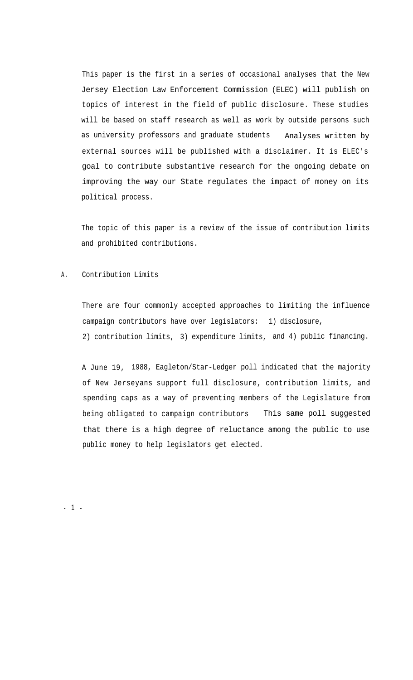This paper is the first in a series of occasional analyses that the New Jersey Election Law Enforcement Commission (ELEC) will publish on topics of interest in the field of public disclosure. These studies will be based on staff research as well as work by outside persons such as university professors and graduate students Analyses written by external sources will be published with a disclaimer. It is ELEC's goal to contribute substantive research for the ongoing debate on improving the way our State regulates the impact of money on its political process.

The topic of this paper is a review of the issue of contribution limits and prohibited contributions.

A. Contribution Limits

There are four commonly accepted approaches to limiting the influence campaign contributors have over legislators: 1) disclosure, 2) contribution limits, 3) expenditure limits, and 4) public financing.

A June 19, 1988, Eagleton/Star-Ledger poll indicated that the majority of New Jerseyans support full disclosure, contribution limits, and spending caps as a way of preventing members of the Legislature from being obligated to campaign contributors This same poll suggested that there is a high degree of reluctance among the public to use public money to help legislators get elected.

- 1 -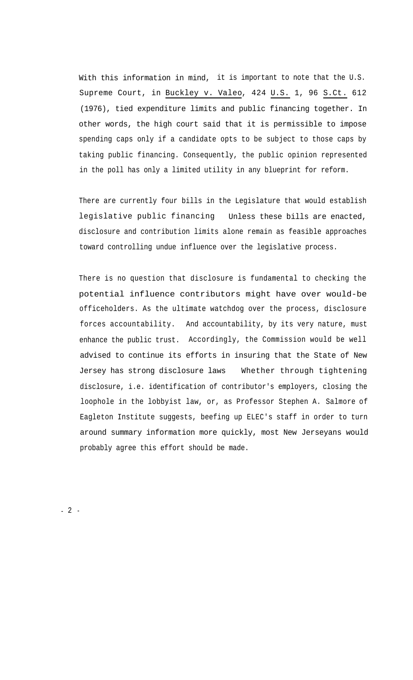With this information in mind, it is important to note that the U.S. Supreme Court, in Buckley v. Valeo, 424 U.S. 1, 96 S.Ct. 612 (1976), tied expenditure limits and public financing together. In other words, the high court said that it is permissible to impose spending caps only if a candidate opts to be subject to those caps by taking public financing. Consequently, the public opinion represented in the poll has only a limited utility in any blueprint for reform.

There are currently four bills in the Legislature that would establish legislative public financing Unless these bills are enacted, disclosure and contribution limits alone remain as feasible approaches toward controlling undue influence over the legislative process.

There is no question that disclosure is fundamental to checking the potential influence contributors might have over would-be officeholders. As the ultimate watchdog over the process, disclosure forces accountability. And accountability, by its very nature, must enhance the public trust. Accordingly, the Commission would be well advised to continue its efforts in insuring that the State of New Jersey has strong disclosure laws Whether through tightening disclosure, i.e. identification of contributor's employers, closing the loophole in the lobbyist law, or, as Professor Stephen A. Salmore of Eagleton Institute suggests, beefing up ELEC's staff in order to turn around summary information more quickly, most New Jerseyans would probably agree this effort should be made.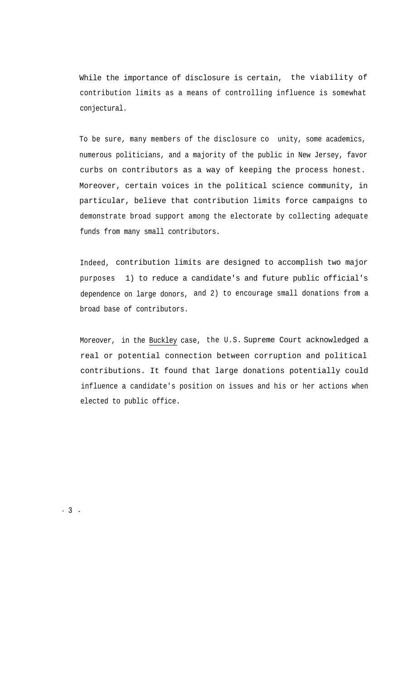While the importance of disclosure is certain, the viability of contribution limits as a means of controlling influence is somewhat conjectural.

To be sure, many members of the disclosure co unity, some academics, numerous politicians, and a majority of the public in New Jersey, favor curbs on contributors as a way of keeping the process honest. Moreover, certain voices in the political science community, in particular, believe that contribution limits force campaigns to demonstrate broad support among the electorate by collecting adequate funds from many small contributors.

Indeed, contribution limits are designed to accomplish two major purposes 1) to reduce a candidate's and future public official's dependence on large donors, and 2) to encourage small donations from a broad base of contributors.

Moreover, in the Buckley case, the U.S. Supreme Court acknowledged a real or potential connection between corruption and political contributions. It found that large donations potentially could influence a candidate's position on issues and his or her actions when elected to public office.

- 3 -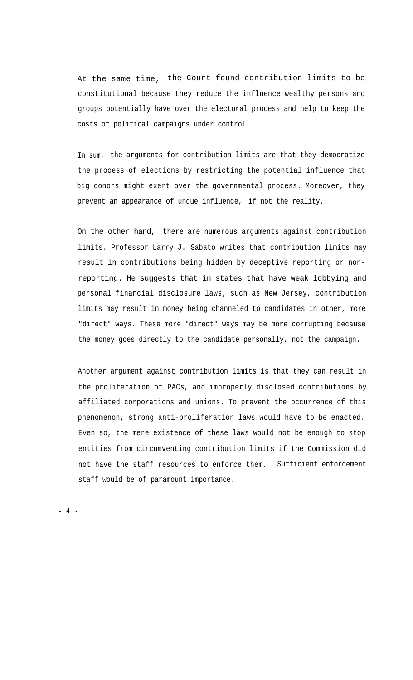At the same time, the Court found contribution limits to be constitutional because they reduce the influence wealthy persons and groups potentially have over the electoral process and help to keep the costs of political campaigns under control.

In sum, the arguments for contribution limits are that they democratize the process of elections by restricting the potential influence that big donors might exert over the governmental process. Moreover, they prevent an appearance of undue influence, if not the reality.

On the other hand, there are numerous arguments against contribution limits. Professor Larry J. Sabato writes that contribution limits may result in contributions being hidden by deceptive reporting or nonreporting. He suggests that in states that have weak lobbying and personal financial disclosure laws, such as New Jersey, contribution limits may result in money being channeled to candidates in other, more "direct" ways. These more "direct" ways may be more corrupting because the money goes directly to the candidate personally, not the campaign.

Another argument against contribution limits is that they can result in the proliferation of PACs, and improperly disclosed contributions by affiliated corporations and unions. To prevent the occurrence of this phenomenon, strong anti-proliferation laws would have to be enacted. Even so, the mere existence of these laws would not be enough to stop entities from circumventing contribution limits if the Commission did not have the staff resources to enforce them. Sufficient enforcement staff would be of paramount importance.

- 4 -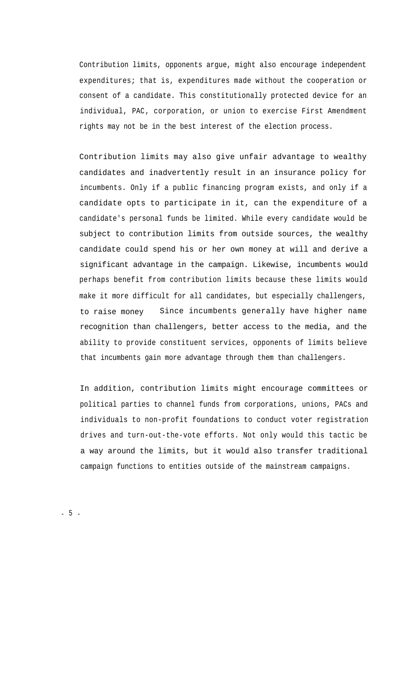Contribution limits, opponents argue, might also encourage independent expenditures; that is, expenditures made without the cooperation or consent of a candidate. This constitutionally protected device for an individual, PAC, corporation, or union to exercise First Amendment rights may not be in the best interest of the election process.

Contribution limits may also give unfair advantage to wealthy candidates and inadvertently result in an insurance policy for incumbents. Only if a public financing program exists, and only if a candidate opts to participate in it, can the expenditure of a candidate's personal funds be limited. While every candidate would be subject to contribution limits from outside sources, the wealthy candidate could spend his or her own money at will and derive a significant advantage in the campaign. Likewise, incumbents would perhaps benefit from contribution limits because these limits would make it more difficult for all candidates, but especially challengers, to raise money Since incumbents generally have higher name recognition than challengers, better access to the media, and the ability to provide constituent services, opponents of limits believe that incumbents gain more advantage through them than challengers.

In addition, contribution limits might encourage committees or political parties to channel funds from corporations, unions, PACs and individuals to non-profit foundations to conduct voter registration drives and turn-out-the-vote efforts. Not only would this tactic be a way around the limits, but it would also transfer traditional campaign functions to entities outside of the mainstream campaigns.

- 5 -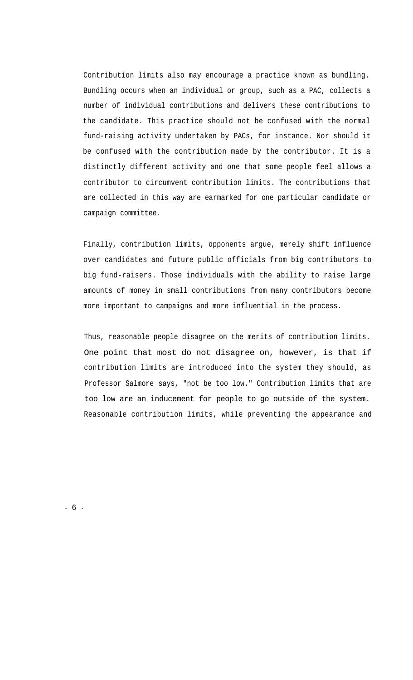Contribution limits also may encourage a practice known as bundling. Bundling occurs when an individual or group, such as a PAC, collects a number of individual contributions and delivers these contributions to the candidate. This practice should not be confused with the normal fund-raising activity undertaken by PACs, for instance. Nor should it be confused with the contribution made by the contributor. It is a distinctly different activity and one that some people feel allows a contributor to circumvent contribution limits. The contributions that are collected in this way are earmarked for one particular candidate or campaign committee.

Finally, contribution limits, opponents argue, merely shift influence over candidates and future public officials from big contributors to big fund-raisers. Those individuals with the ability to raise large amounts of money in small contributions from many contributors become more important to campaigns and more influential in the process.

Thus, reasonable people disagree on the merits of contribution limits. One point that most do not disagree on, however, is that if contribution limits are introduced into the system they should, as Professor Salmore says, "not be too low." Contribution limits that are too low are an inducement for people to go outside of the system. Reasonable contribution limits, while preventing the appearance and

- 6 -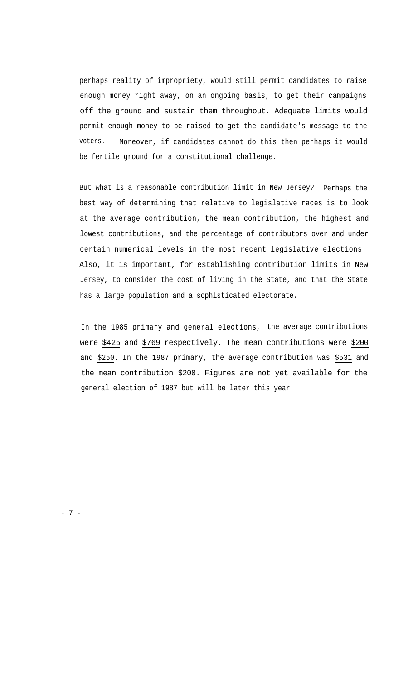perhaps reality of impropriety, would still permit candidates to raise enough money right away, on an ongoing basis, to get their campaigns off the ground and sustain them throughout. Adequate limits would permit enough money to be raised to get the candidate's message to the voters. Moreover, if candidates cannot do this then perhaps it would be fertile ground for a constitutional challenge.

But what is a reasonable contribution limit in New Jersey? Perhaps the best way of determining that relative to legislative races is to look at the average contribution, the mean contribution, the highest and lowest contributions, and the percentage of contributors over and under certain numerical levels in the most recent legislative elections. Also, it is important, for establishing contribution limits in New Jersey, to consider the cost of living in the State, and that the State has a large population and a sophisticated electorate.

In the 1985 primary and general elections, the average contributions were \$425 and \$769 respectively. The mean contributions were \$200 and \$250. In the 1987 primary, the average contribution was \$531 and the mean contribution \$200. Figures are not yet available for the general election of 1987 but will be later this year.

- 7 -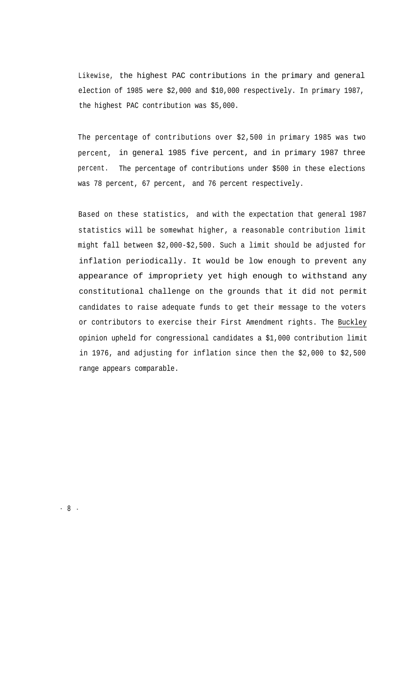Likewise, the highest PAC contributions in the primary and general election of 1985 were \$2,000 and \$10,000 respectively. In primary 1987, the highest PAC contribution was \$5,000.

The percentage of contributions over \$2,500 in primary 1985 was two percent, in general 1985 five percent, and in primary 1987 three percent. The percentage of contributions under \$500 in these elections was 78 percent, 67 percent, and 76 percent respectively.

Based on these statistics, and with the expectation that general 1987 statistics will be somewhat higher, a reasonable contribution limit might fall between \$2,000-\$2,500. Such a limit should be adjusted for inflation periodically. It would be low enough to prevent any appearance of impropriety yet high enough to withstand any constitutional challenge on the grounds that it did not permit candidates to raise adequate funds to get their message to the voters or contributors to exercise their First Amendment rights. The Buckley opinion upheld for congressional candidates a \$1,000 contribution limit in 1976, and adjusting for inflation since then the \$2,000 to \$2,500 range appears comparable.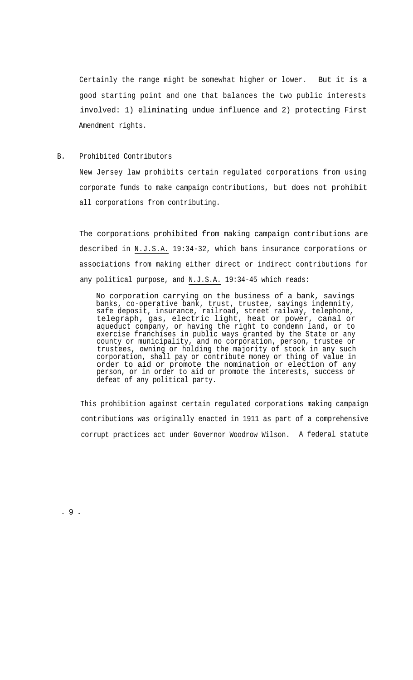Certainly the range might be somewhat higher or lower. But it is a good starting point and one that balances the two public interests involved: 1) eliminating undue influence and 2) protecting First Amendment rights.

#### B. Prohibited Contributors

New Jersey law prohibits certain regulated corporations from using corporate funds to make campaign contributions, but does not prohibit all corporations from contributing.

The corporations prohibited from making campaign contributions are described in N.J.S.A. 19:34-32, which bans insurance corporations or associations from making either direct or indirect contributions for any political purpose, and N.J.S.A. 19:34-45 which reads:

No corporation carrying on the business of a bank, savings banks, co-operative bank, trust, trustee, savings indemnity, safe deposit, insurance, railroad, street railway, telephone, telegraph, gas, electric light, heat or power, canal or aqueduct company, or having the right to condemn land, or to exercise franchises in public ways granted by the State or any county or municipality, and no corporation, person, trustee or trustees, owning or holding the majority of stock in any such corporation, shall pay or contribute money or thing of value in order to aid or promote the nomination or election of any person, or in order to aid or promote the interests, success or defeat of any political party.

This prohibition against certain regulated corporations making campaign contributions was originally enacted in 1911 as part of a comprehensive corrupt practices act under Governor Woodrow Wilson. A federal statute

- 9 -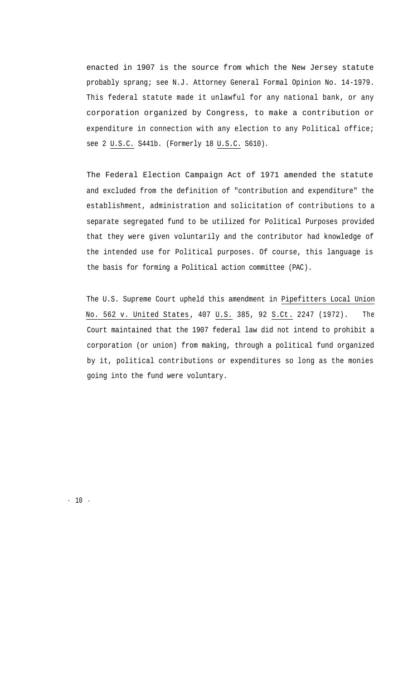enacted in 1907 is the source from which the New Jersey statute probably sprang; see N.J. Attorney General Formal Opinion No. 14-1979. This federal statute made it unlawful for any national bank, or any corporation organized by Congress, to make a contribution or expenditure in connection with any election to any Political office; see 2 U.S.C. S441b. (Formerly 18 U.S.C. S610).

The Federal Election Campaign Act of 1971 amended the statute and excluded from the definition of "contribution and expenditure" the establishment, administration and solicitation of contributions to a separate segregated fund to be utilized for Political Purposes provided that they were given voluntarily and the contributor had knowledge of the intended use for Political purposes. Of course, this language is the basis for forming a Political action committee (PAC).

The U.S. Supreme Court upheld this amendment in Pipefitters Local Union No. 562 v. United States, 407 U.S. 385, 92 S.Ct. 2247 (1972). The Court maintained that the 1907 federal law did not intend to prohibit a corporation (or union) from making, through a political fund organized by it, political contributions or expenditures so long as the monies going into the fund were voluntary.

- 10 -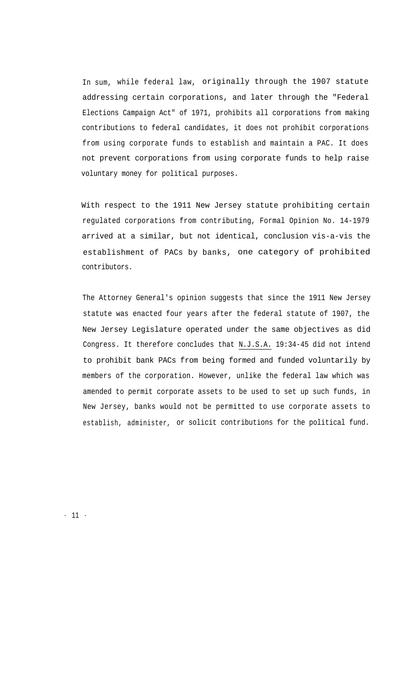In sum, while federal law, originally through the 1907 statute addressing certain corporations, and later through the "Federal Elections Campaign Act" of 1971, prohibits all corporations from making contributions to federal candidates, it does not prohibit corporations from using corporate funds to establish and maintain a PAC. It does not prevent corporations from using corporate funds to help raise voluntary money for political purposes.

With respect to the 1911 New Jersey statute prohibiting certain regulated corporations from contributing, Formal Opinion No. 14-1979 arrived at a similar, but not identical, conclusion vis-a-vis the establishment of PACs by banks, one category of prohibited contributors.

The Attorney General's opinion suggests that since the 1911 New Jersey statute was enacted four years after the federal statute of 1907, the New Jersey Legislature operated under the same objectives as did Congress. It therefore concludes that N.J.S.A. 19:34-45 did not intend to prohibit bank PACs from being formed and funded voluntarily by members of the corporation. However, unlike the federal law which was amended to permit corporate assets to be used to set up such funds, in New Jersey, banks would not be permitted to use corporate assets to establish, administer, or solicit contributions for the political fund.

- 11 -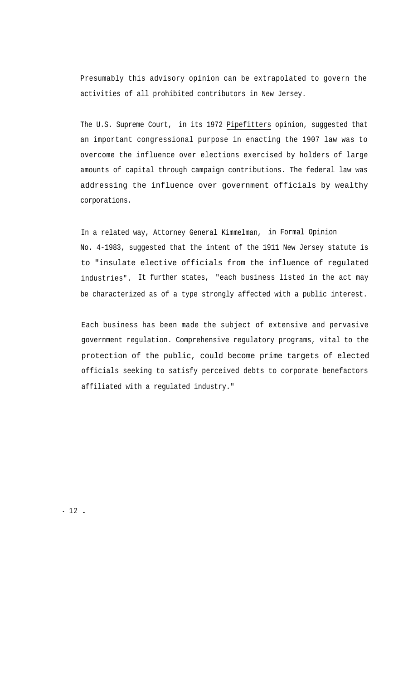Presumably this advisory opinion can be extrapolated to govern the activities of all prohibited contributors in New Jersey.

The U.S. Supreme Court, in its 1972 Pipefitters opinion, suggested that an important congressional purpose in enacting the 1907 law was to overcome the influence over elections exercised by holders of large amounts of capital through campaign contributions. The federal law was addressing the influence over government officials by wealthy corporations.

In a related way, Attorney General Kimmelman, in Formal Opinion No. 4-1983, suggested that the intent of the 1911 New Jersey statute is to "insulate elective officials from the influence of regulated industries". It further states, "each business listed in the act may be characterized as of a type strongly affected with a public interest.

Each business has been made the subject of extensive and pervasive government regulation. Comprehensive regulatory programs, vital to the protection of the public, could become prime targets of elected officials seeking to satisfy perceived debts to corporate benefactors affiliated with a regulated industry."

 $-12$  -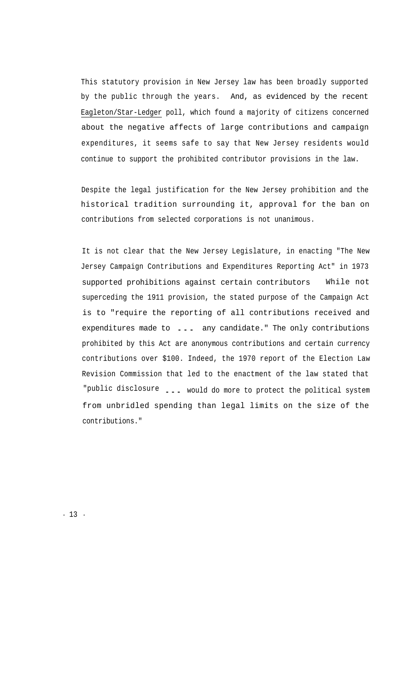This statutory provision in New Jersey law has been broadly supported by the public through the years. And, as evidenced by the recent Eagleton/Star-Ledger poll, which found a majority of citizens concerned about the negative affects of large contributions and campaign expenditures, it seems safe to say that New Jersey residents would continue to support the prohibited contributor provisions in the law.

Despite the legal justification for the New Jersey prohibition and the historical tradition surrounding it, approval for the ban on contributions from selected corporations is not unanimous.

It is not clear that the New Jersey Legislature, in enacting "The New Jersey Campaign Contributions and Expenditures Reporting Act" in 1973 supported prohibitions against certain contributors While not superceding the 1911 provision, the stated purpose of the Campaign Act is to "require the reporting of all contributions received and expenditures made to ... any candidate." The only contributions prohibited by this Act are anonymous contributions and certain currency contributions over \$100. Indeed, the 1970 report of the Election Law Revision Commission that led to the enactment of the law stated that "public disclosure ... would do more to protect the political system from unbridled spending than legal limits on the size of the contributions."

- 13 -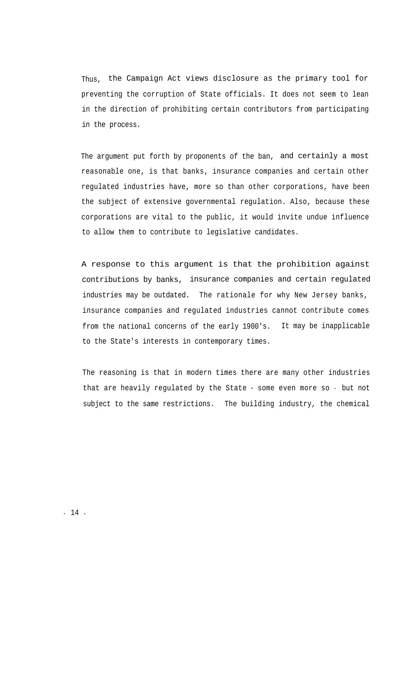Thus, the Campaign Act views disclosure as the primary tool for preventing the corruption of State officials. It does not seem to lean in the direction of prohibiting certain contributors from participating in the process.

The argument put forth by proponents of the ban, and certainly a most reasonable one, is that banks, insurance companies and certain other regulated industries have, more so than other corporations, have been the subject of extensive governmental regulation. Also, because these corporations are vital to the public, it would invite undue influence to allow them to contribute to legislative candidates.

A response to this argument is that the prohibition against contributions by banks, insurance companies and certain regulated industries may be outdated. The rationale for why New Jersey banks, insurance companies and regulated industries cannot contribute comes from the national concerns of the early 1900's. It may be inapplicable to the State's interests in contemporary times.

The reasoning is that in modern times there are many other industries that are heavily regulated by the State - some even more so - but not subject to the same restrictions. The building industry, the chemical

- 14 -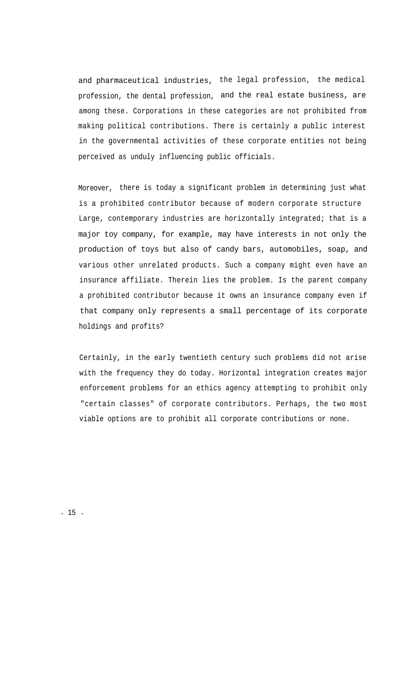and pharmaceutical industries, the legal profession, the medical profession, the dental profession, and the real estate business, are among these. Corporations in these categories are not prohibited from making political contributions. There is certainly a public interest in the governmental activities of these corporate entities not being perceived as unduly influencing public officials.

Moreover, there is today a significant problem in determining just what is a prohibited contributor because of modern corporate structure Large, contemporary industries are horizontally integrated; that is a major toy company, for example, may have interests in not only the production of toys but also of candy bars, automobiles, soap, and various other unrelated products. Such a company might even have an insurance affiliate. Therein lies the problem. Is the parent company a prohibited contributor because it owns an insurance company even if that company only represents a small percentage of its corporate holdings and profits?

Certainly, in the early twentieth century such problems did not arise with the frequency they do today. Horizontal integration creates major enforcement problems for an ethics agency attempting to prohibit only "certain classes" of corporate contributors. Perhaps, the two most viable options are to prohibit all corporate contributions or none.

- 15 -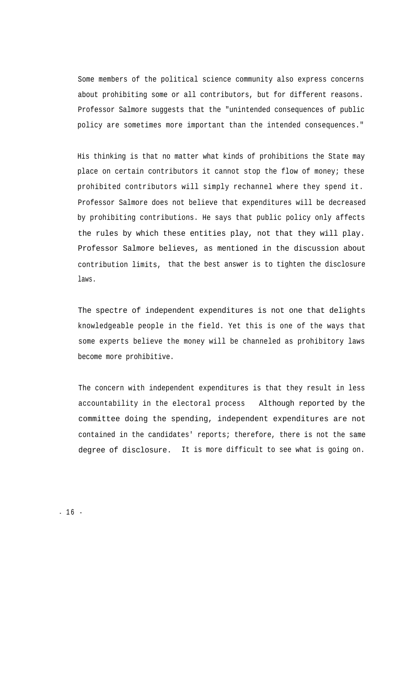Some members of the political science community also express concerns about prohibiting some or all contributors, but for different reasons. Professor Salmore suggests that the "unintended consequences of public policy are sometimes more important than the intended consequences."

His thinking is that no matter what kinds of prohibitions the State may place on certain contributors it cannot stop the flow of money; these prohibited contributors will simply rechannel where they spend it. Professor Salmore does not believe that expenditures will be decreased by prohibiting contributions. He says that public policy only affects the rules by which these entities play, not that they will play. Professor Salmore believes, as mentioned in the discussion about contribution limits, that the best answer is to tighten the disclosure laws.

The spectre of independent expenditures is not one that delights knowledgeable people in the field. Yet this is one of the ways that some experts believe the money will be channeled as prohibitory laws become more prohibitive.

The concern with independent expenditures is that they result in less accountability in the electoral process Although reported by the committee doing the spending, independent expenditures are not contained in the candidates' reports; therefore, there is not the same degree of disclosure. It is more difficult to see what is going on.

 $-16 -$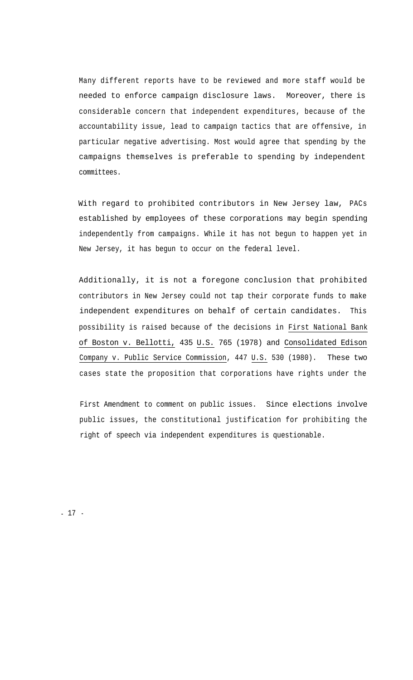Many different reports have to be reviewed and more staff would be needed to enforce campaign disclosure laws. Moreover, there is considerable concern that independent expenditures, because of the accountability issue, lead to campaign tactics that are offensive, in particular negative advertising. Most would agree that spending by the campaigns themselves is preferable to spending by independent committees.

With regard to prohibited contributors in New Jersey law, PACs established by employees of these corporations may begin spending independently from campaigns. While it has not begun to happen yet in New Jersey, it has begun to occur on the federal level.

Additionally, it is not a foregone conclusion that prohibited contributors in New Jersey could not tap their corporate funds to make independent expenditures on behalf of certain candidates. This possibility is raised because of the decisions in First National Bank of Boston v. Bellotti, 435 U.S. 765 (1978) and Consolidated Edison Company v. Public Service Commission, 447 U.S. 530 (1980). These two cases state the proposition that corporations have rights under the

First Amendment to comment on public issues. Since elections involve public issues, the constitutional justification for prohibiting the right of speech via independent expenditures is questionable.

- 17 -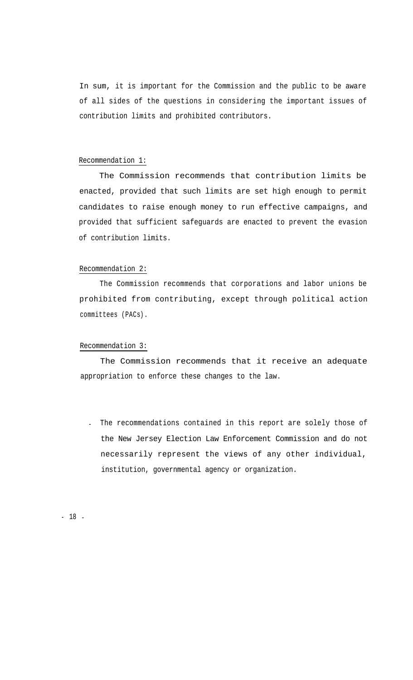In sum, it is important for the Commission and the public to be aware of all sides of the questions in considering the important issues of contribution limits and prohibited contributors.

#### Recommendation 1:

The Commission recommends that contribution limits be enacted, provided that such limits are set high enough to permit candidates to raise enough money to run effective campaigns, and provided that sufficient safeguards are enacted to prevent the evasion of contribution limits.

#### Recommendation 2:

The Commission recommends that corporations and labor unions be prohibited from contributing, except through political action committees (PACs).

#### Recommendation 3:

The Commission recommends that it receive an adequate appropriation to enforce these changes to the law.

. The recommendations contained in this report are solely those of the New Jersey Election Law Enforcement Commission and do not necessarily represent the views of any other individual, institution, governmental agency or organization.

- 18 -